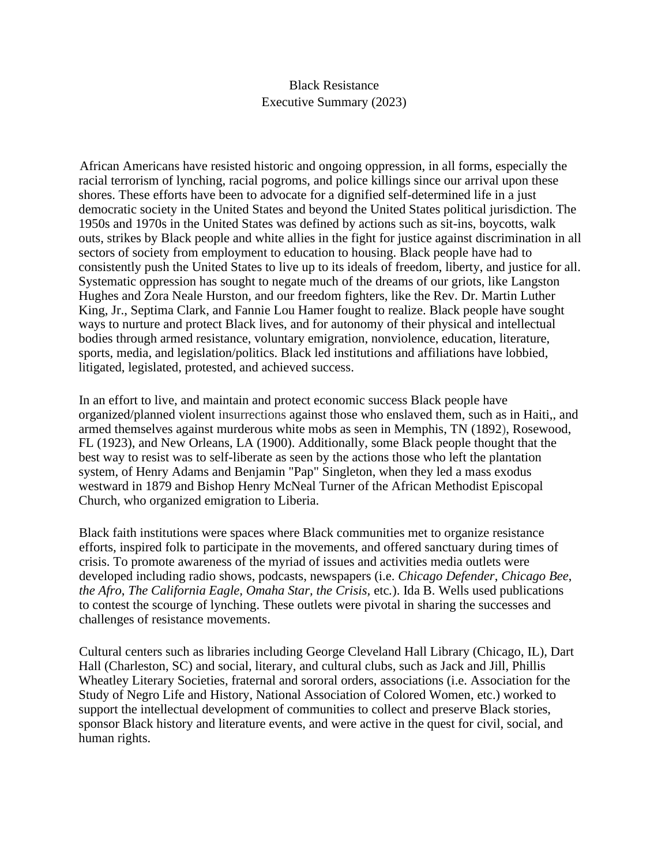## Black Resistance Executive Summary (2023)

African Americans have resisted historic and ongoing oppression, in all forms, especially the racial terrorism of lynching, racial pogroms, and police killings since our arrival upon these shores. These efforts have been to advocate for a dignified self-determined life in a just democratic society in the United States and beyond the United States political jurisdiction. The 1950s and 1970s in the United States was defined by actions such as sit-ins, boycotts, walk outs, strikes by Black people and white allies in the fight for justice against discrimination in all sectors of society from employment to education to housing. Black people have had to consistently push the United States to live up to its ideals of freedom, liberty, and justice for all. Systematic oppression has sought to negate much of the dreams of our griots, like Langston Hughes and Zora Neale Hurston, and our freedom fighters, like the Rev. Dr. Martin Luther King, Jr., Septima Clark, and Fannie Lou Hamer fought to realize. Black people have sought ways to nurture and protect Black lives, and for autonomy of their physical and intellectual bodies through armed resistance, voluntary emigration, nonviolence, education, literature, sports, media, and legislation/politics. Black led institutions and affiliations have lobbied, litigated, legislated, protested, and achieved success.

In an effort to live, and maintain and protect economic success Black people have organized/planned violent insurrections against those who enslaved them, such as in Haiti,, and armed themselves against murderous white mobs as seen in Memphis, TN (1892), Rosewood, FL (1923), and New Orleans, LA (1900). Additionally, some Black people thought that the best way to resist was to self-liberate as seen by the actions those who left the plantation system, of Henry Adams and Benjamin "Pap" Singleton, when they led a mass exodus westward in 1879 and Bishop Henry McNeal Turner of the African Methodist Episcopal Church, who organized emigration to Liberia.

Black faith institutions were spaces where Black communities met to organize resistance efforts, inspired folk to participate in the movements, and offered sanctuary during times of crisis. To promote awareness of the myriad of issues and activities media outlets were developed including radio shows, podcasts, newspapers (i.e. *Chicago Defender*, *Chicago Bee*, *the Afro*, *The California Eagle, Omaha Star, the Crisis,* etc*.*). Ida B. Wells used publications to contest the scourge of lynching. These outlets were pivotal in sharing the successes and challenges of resistance movements.

Cultural centers such as libraries including George Cleveland Hall Library (Chicago, IL), Dart Hall (Charleston, SC) and social, literary, and cultural clubs, such as Jack and Jill, Phillis Wheatley Literary Societies, fraternal and sororal orders, associations (i.e. Association for the Study of Negro Life and History, National Association of Colored Women, etc.) worked to support the intellectual development of communities to collect and preserve Black stories, sponsor Black history and literature events, and were active in the quest for civil, social, and human rights.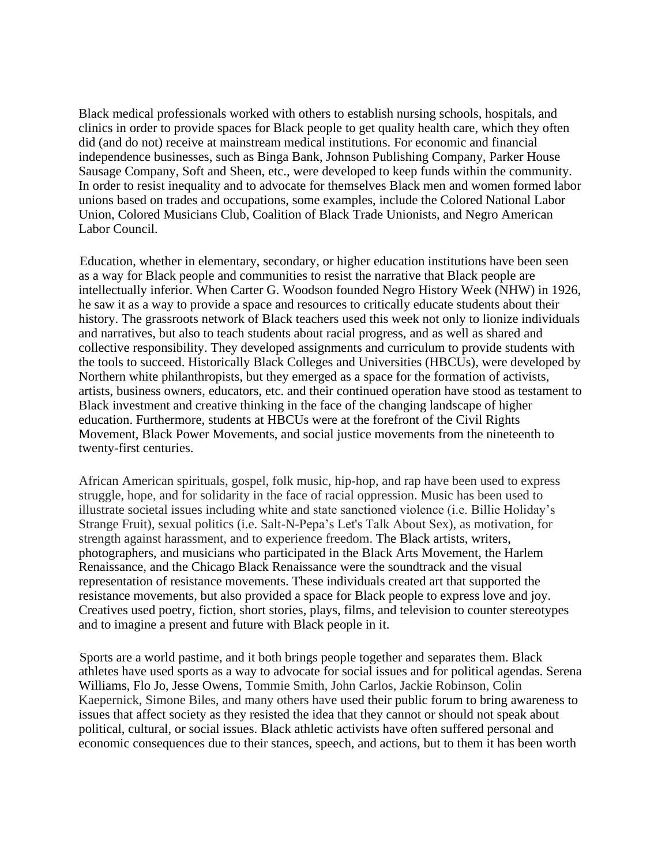Black medical professionals worked with others to establish nursing schools, hospitals, and clinics in order to provide spaces for Black people to get quality health care, which they often did (and do not) receive at mainstream medical institutions. For economic and financial independence businesses, such as Binga Bank, Johnson Publishing Company, Parker House Sausage Company, Soft and Sheen, etc., were developed to keep funds within the community. In order to resist inequality and to advocate for themselves Black men and women formed labor unions based on trades and occupations, some examples, include the Colored National Labor Union, Colored Musicians Club, Coalition of Black Trade Unionists, and Negro American Labor Council.

Education, whether in elementary, secondary, or higher education institutions have been seen as a way for Black people and communities to resist the narrative that Black people are intellectually inferior. When Carter G. Woodson founded Negro History Week (NHW) in 1926, he saw it as a way to provide a space and resources to critically educate students about their history. The grassroots network of Black teachers used this week not only to lionize individuals and narratives, but also to teach students about racial progress, and as well as shared and collective responsibility. They developed assignments and curriculum to provide students with the tools to succeed. Historically Black Colleges and Universities (HBCUs), were developed by Northern white philanthropists, but they emerged as a space for the formation of activists, artists, business owners, educators, etc. and their continued operation have stood as testament to Black investment and creative thinking in the face of the changing landscape of higher education. Furthermore, students at HBCUs were at the forefront of the Civil Rights Movement, Black Power Movements, and social justice movements from the nineteenth to twenty-first centuries.

African American spirituals, gospel, folk music, hip-hop, and rap have been used to express struggle, hope, and for solidarity in the face of racial oppression. Music has been used to illustrate societal issues including white and state sanctioned violence (i.e. Billie Holiday's Strange Fruit), sexual politics (i.e. Salt-N-Pepa's Let's Talk About Sex), as motivation, for strength against harassment, and to experience freedom. The Black artists, writers, photographers, and musicians who participated in the Black Arts Movement, the Harlem Renaissance, and the Chicago Black Renaissance were the soundtrack and the visual representation of resistance movements. These individuals created art that supported the resistance movements, but also provided a space for Black people to express love and joy. Creatives used poetry, fiction, short stories, plays, films, and television to counter stereotypes and to imagine a present and future with Black people in it.

Sports are a world pastime, and it both brings people together and separates them. Black athletes have used sports as a way to advocate for social issues and for political agendas. Serena Williams, Flo Jo, Jesse Owens, Tommie Smith, John Carlos, Jackie Robinson, Colin Kaepernick, Simone Biles, and many others have used their public forum to bring awareness to issues that affect society as they resisted the idea that they cannot or should not speak about political, cultural, or social issues. Black athletic activists have often suffered personal and economic consequences due to their stances, speech, and actions, but to them it has been worth